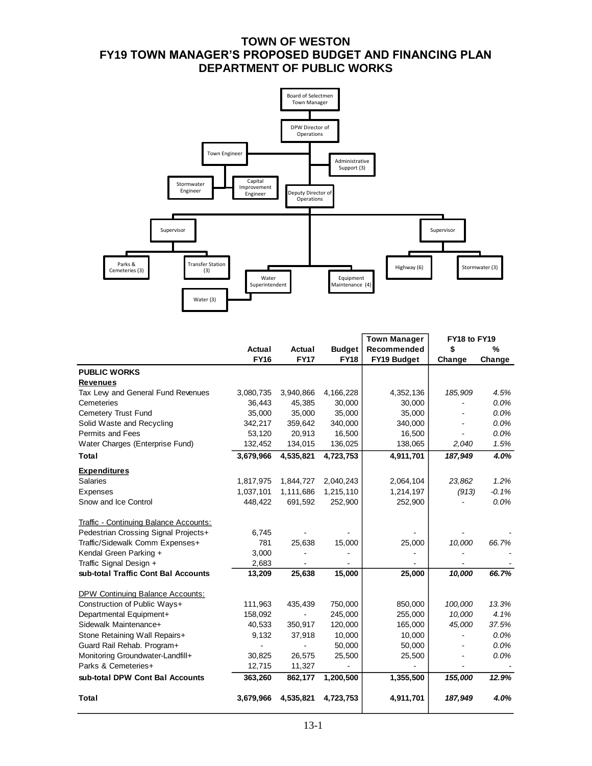# **TOWN OF WESTON FY19 TOWN MANAGER'S PROPOSED BUDGET AND FINANCING PLAN DEPARTMENT OF PUBLIC WORKS**



|                                        |             |             |               | <b>Town Manager</b> | FY18 to FY19 |         |
|----------------------------------------|-------------|-------------|---------------|---------------------|--------------|---------|
|                                        | Actual      | Actual      | <b>Budget</b> | Recommended         | \$           | %       |
|                                        | <b>FY16</b> | <b>FY17</b> | <b>FY18</b>   | FY19 Budget         | Change       | Change  |
| <b>PUBLIC WORKS</b>                    |             |             |               |                     |              |         |
| <b>Revenues</b>                        |             |             |               |                     |              |         |
| Tax Levy and General Fund Revenues     | 3,080,735   | 3,940,866   | 4,166,228     | 4,352,136           | 185,909      | 4.5%    |
| Cemeteries                             | 36,443      | 45,385      | 30,000        | 30,000              |              | $0.0\%$ |
| Cemetery Trust Fund                    | 35,000      | 35,000      | 35,000        | 35,000              |              | 0.0%    |
| Solid Waste and Recycling              | 342,217     | 359,642     | 340,000       | 340,000             |              | 0.0%    |
| Permits and Fees                       | 53,120      | 20,913      | 16,500        | 16,500              |              | 0.0%    |
| Water Charges (Enterprise Fund)        | 132,452     | 134,015     | 136,025       | 138,065             | 2,040        | 1.5%    |
| Total                                  | 3,679,966   | 4,535,821   | 4,723,753     | 4,911,701           | 187,949      | 4.0%    |
| <b>Expenditures</b>                    |             |             |               |                     |              |         |
| <b>Salaries</b>                        | 1,817,975   | 1,844,727   | 2,040,243     | 2,064,104           | 23,862       | 1.2%    |
| Expenses                               | 1,037,101   | 1,111,686   | 1,215,110     | 1,214,197           | (913)        | $-0.1%$ |
| Snow and Ice Control                   | 448,422     | 691,592     | 252,900       | 252,900             |              | 0.0%    |
| Traffic - Continuing Balance Accounts: |             |             |               |                     |              |         |
| Pedestrian Crossing Signal Projects+   | 6,745       |             |               |                     |              |         |
| Traffic/Sidewalk Comm Expenses+        | 781         | 25,638      | 15,000        | 25,000              | 10,000       | 66.7%   |
| Kendal Green Parking +                 | 3,000       |             |               |                     |              |         |
| Traffic Signal Design +                | 2,683       |             |               |                     |              |         |
| sub-total Traffic Cont Bal Accounts    | 13,209      | 25,638      | 15,000        | 25,000              | 10,000       | 66.7%   |
| DPW Continuing Balance Accounts:       |             |             |               |                     |              |         |
| Construction of Public Ways+           | 111,963     | 435,439     | 750,000       | 850,000             | 100,000      | 13.3%   |
| Departmental Equipment+                | 158,092     |             | 245,000       | 255,000             | 10,000       | 4.1%    |
| Sidewalk Maintenance+                  | 40,533      | 350,917     | 120,000       | 165,000             | 45,000       | 37.5%   |
| Stone Retaining Wall Repairs+          | 9,132       | 37,918      | 10,000        | 10,000              |              | 0.0%    |
| Guard Rail Rehab. Program+             |             |             | 50,000        | 50,000              |              | 0.0%    |
| Monitoring Groundwater-Landfill+       | 30,825      | 26,575      | 25,500        | 25,500              |              | 0.0%    |
| Parks & Cemeteries+                    | 12,715      | 11,327      |               |                     |              |         |
| sub-total DPW Cont Bal Accounts        | 363,260     | 862,177     | 1,200,500     | 1,355,500           | 155,000      | 12.9%   |
| <b>Total</b>                           | 3,679,966   | 4,535,821   | 4,723,753     | 4,911,701           | 187,949      | 4.0%    |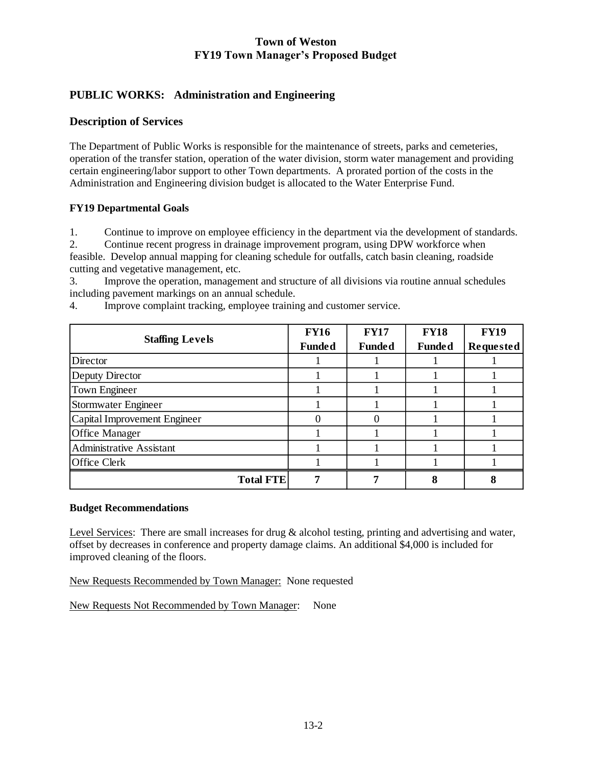# **PUBLIC WORKS: Administration and Engineering**

#### **Description of Services**

The Department of Public Works is responsible for the maintenance of streets, parks and cemeteries, operation of the transfer station, operation of the water division, storm water management and providing certain engineering/labor support to other Town departments. A prorated portion of the costs in the Administration and Engineering division budget is allocated to the Water Enterprise Fund.

#### **FY19 Departmental Goals**

1. Continue to improve on employee efficiency in the department via the development of standards.

2. Continue recent progress in drainage improvement program, using DPW workforce when feasible. Develop annual mapping for cleaning schedule for outfalls, catch basin cleaning, roadside cutting and vegetative management, etc.

3. Improve the operation, management and structure of all divisions via routine annual schedules including pavement markings on an annual schedule.

|                                 | <b>FY16</b>   | <b>FY17</b>   | <b>FY18</b>   | <b>FY19</b>      |
|---------------------------------|---------------|---------------|---------------|------------------|
| <b>Staffing Levels</b>          | <b>Funded</b> | <b>Funded</b> | <b>Funded</b> | <b>Requested</b> |
| Director                        |               |               |               |                  |
| Deputy Director                 |               |               |               |                  |
| <b>Town Engineer</b>            |               |               |               |                  |
| Stormwater Engineer             |               |               |               |                  |
| Capital Improvement Engineer    |               |               |               |                  |
| <b>Office Manager</b>           |               |               |               |                  |
| <b>Administrative Assistant</b> |               |               |               |                  |
| <b>Office Clerk</b>             |               |               |               |                  |
| <b>Total FTE</b>                |               |               |               |                  |

4. Improve complaint tracking, employee training and customer service.

#### **Budget Recommendations**

Level Services: There are small increases for drug & alcohol testing, printing and advertising and water, offset by decreases in conference and property damage claims. An additional \$4,000 is included for improved cleaning of the floors.

New Requests Recommended by Town Manager: None requested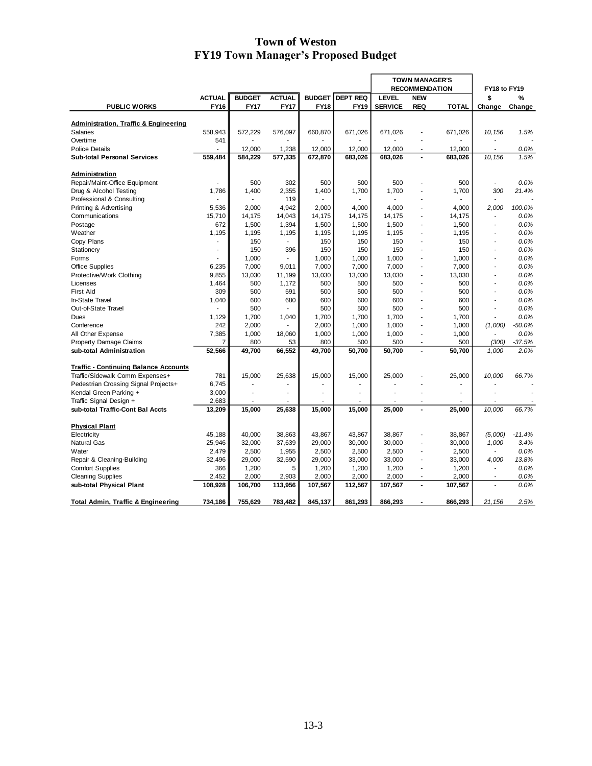|                                                  |               |               |                |                |                 | <b>TOWN MANAGER'S</b><br><b>RECOMMENDATION</b> |                          |              | FY18 to FY19             |          |
|--------------------------------------------------|---------------|---------------|----------------|----------------|-----------------|------------------------------------------------|--------------------------|--------------|--------------------------|----------|
|                                                  | <b>ACTUAL</b> | <b>BUDGET</b> | <b>ACTUAL</b>  | <b>BUDGET</b>  | <b>DEPT REQ</b> | <b>LEVEL</b>                                   | <b>NEW</b>               |              | \$                       | %        |
| <b>PUBLIC WORKS</b>                              | <b>FY16</b>   | <b>FY17</b>   | <b>FY17</b>    | <b>FY18</b>    | FY19            | <b>SERVICE</b>                                 | <b>REQ</b>               | <b>TOTAL</b> | Change                   | Change   |
|                                                  |               |               |                |                |                 |                                                |                          |              |                          |          |
| <b>Administration, Traffic &amp; Engineering</b> |               |               |                |                |                 |                                                |                          |              |                          |          |
| Salaries                                         | 558,943       | 572,229       | 576,097        | 660,870        | 671,026         | 671,026                                        |                          | 671,026      | 10, 156                  | 1.5%     |
| Overtime                                         | 541           |               |                |                |                 |                                                | ٠                        |              |                          |          |
| <b>Police Details</b>                            |               | 12,000        | 1,238          | 12,000         | 12.000          | 12.000                                         | ÷.                       | 12,000       | ÷.                       | 0.0%     |
| <b>Sub-total Personal Services</b>               | 559.484       | 584,229       | 577,335        | 672,870        | 683,026         | 683,026                                        | $\overline{a}$           | 683,026      | 10,156                   | 1.5%     |
| Administration                                   |               |               |                |                |                 |                                                |                          |              |                          |          |
| Repair/Maint-Office Equipment                    |               | 500           | 302            | 500            | 500             | 500                                            |                          | 500          | ÷,                       | 0.0%     |
| Drug & Alcohol Testing                           | 1,786         | 1,400         | 2,355          | 1,400          | 1,700           | 1,700                                          | ä,                       | 1,700        | 300                      | 21.4%    |
| Professional & Consulting                        |               |               | 119            |                |                 |                                                |                          |              |                          |          |
| Printing & Advertising                           | 5,536         | 2,000         | 4,942          | 2,000          | 4,000           | 4,000                                          | ä,                       | 4,000        | 2.000                    | 100.0%   |
| Communications                                   | 15,710        | 14,175        | 14,043         | 14,175         | 14,175          | 14,175                                         | ÷,                       | 14,175       | ÷,                       | 0.0%     |
| Postage                                          | 672           | 1,500         | 1,394          | 1,500          | 1,500           | 1,500                                          | ä,                       | 1,500        |                          | 0.0%     |
| Weather                                          | 1,195         | 1,195         | 1,195          | 1,195          | 1,195           | 1,195                                          | ÷,                       | 1,195        |                          | 0.0%     |
| Copy Plans                                       |               | 150           |                | 150            | 150             | 150                                            | ä,                       | 150          | ٠                        | 0.0%     |
| Stationery                                       |               | 150           | 396            | 150            | 150             | 150                                            | ä,                       | 150          | ٠                        | 0.0%     |
| Forms                                            |               | 1,000         |                | 1,000          | 1,000           | 1,000                                          |                          | 1,000        |                          | 0.0%     |
| <b>Office Supplies</b>                           | 6,235         | 7,000         | 9,011          | 7,000          | 7,000           | 7,000                                          | ÷,                       | 7,000        | $\frac{1}{2}$            | 0.0%     |
| Protective/Work Clothing                         | 9,855         | 13,030        | 11,199         | 13,030         | 13,030          | 13,030                                         | ä,                       | 13,030       |                          | 0.0%     |
| Licenses                                         | 1,464         | 500           | 1,172          | 500            | 500             | 500                                            | $\frac{1}{2}$            | 500          | $\frac{1}{2}$            | 0.0%     |
| <b>First Aid</b>                                 | 309           | 500           | 591            | 500            | 500             | 500                                            | ä,                       | 500          |                          | 0.0%     |
| In-State Travel                                  | 1,040         | 600           | 680            | 600            | 600             | 600                                            | ä,                       | 600          |                          | 0.0%     |
| Out-of-State Travel                              |               | 500           |                | 500            | 500             | 500                                            | ä,                       | 500          |                          | 0.0%     |
| Dues                                             | 1,129         | 1,700         | 1,040          | 1,700          | 1,700           | 1,700                                          | ÷.                       | 1,700        | ÷.                       | 0.0%     |
| Conference                                       | 242           | 2,000         |                | 2,000          | 1,000           | 1,000                                          | ÷,                       | 1,000        | (1,000)                  | $-50.0%$ |
| All Other Expense                                | 7,385         | 1,000         | 18,060         | 1,000          | 1,000           | 1,000                                          | ÷,                       | 1,000        |                          | 0.0%     |
| <b>Property Damage Claims</b>                    | 7             | 800           | 53             | 800            | 500             | 500                                            | $\overline{\phantom{a}}$ | 500          | (300)                    | $-37.5%$ |
| sub-total Administration                         | 52,566        | 49,700        | 66,552         | 49,700         | 50,700          | 50,700                                         | $\overline{a}$           | 50,700       | 1,000                    | 2.0%     |
|                                                  |               |               |                |                |                 |                                                |                          |              |                          |          |
| <b>Traffic - Continuing Balance Accounts</b>     |               |               |                |                |                 |                                                |                          |              |                          |          |
| Traffic/Sidewalk Comm Expenses+                  | 781           | 15,000        | 25,638         | 15,000         | 15,000          | 25,000                                         |                          | 25,000       | 10,000                   | 66.7%    |
| Pedestrian Crossing Signal Projects+             | 6,745         | ä,            | $\overline{a}$ | $\overline{a}$ |                 |                                                |                          | ÷.           |                          |          |
| Kendal Green Parking +                           | 3,000         | ä,            | $\overline{a}$ | ä,             | $\overline{a}$  |                                                | ä,                       |              |                          |          |
| Traffic Signal Design +                          | 2,683         |               |                |                |                 |                                                | ä,                       |              |                          |          |
| sub-total Traffic-Cont Bal Accts                 | 13,209        | 15,000        | 25,638         | 15,000         | 15,000          | 25,000                                         | $\overline{a}$           | 25,000       | 10,000                   | 66.7%    |
| <b>Physical Plant</b>                            |               |               |                |                |                 |                                                |                          |              |                          |          |
| Electricity                                      | 45,188        | 40,000        | 38,863         | 43,867         | 43,867          | 38,867                                         | $\overline{a}$           | 38,867       | (5,000)                  | $-11.4%$ |
| <b>Natural Gas</b>                               | 25,946        | 32,000        | 37,639         | 29,000         | 30,000          | 30,000                                         | ä,                       | 30,000       | 1,000                    | 3.4%     |
| Water                                            | 2,479         | 2,500         | 1,955          | 2,500          | 2,500           | 2,500                                          | ÷,                       | 2,500        |                          | 0.0%     |
| Repair & Cleaning-Building                       | 32,496        | 29,000        | 32,590         | 29,000         | 33,000          | 33,000                                         | ä,                       | 33,000       | 4,000                    | 13.8%    |
| <b>Comfort Supplies</b>                          | 366           | 1,200         | 5              | 1,200          | 1,200           | 1,200                                          | $\frac{1}{2}$            | 1,200        | $\overline{\phantom{a}}$ | 0.0%     |
| <b>Cleaning Supplies</b>                         | 2,452         | 2,000         | 2,903          | 2,000          | 2,000           | 2,000                                          | ÷.                       | 2,000        |                          | 0.0%     |
| sub-total Physical Plant                         | 108,928       | 106,700       | 113,956        | 107,567        | 112,567         | 107,567                                        | $\overline{\phantom{a}}$ | 107,567      |                          | 0.0%     |
| <b>Total Admin, Traffic &amp; Engineering</b>    | 734,186       | 755,629       | 783,482        | 845,137        | 861,293         | 866,293                                        |                          | 866,293      | 21,156                   | 2.5%     |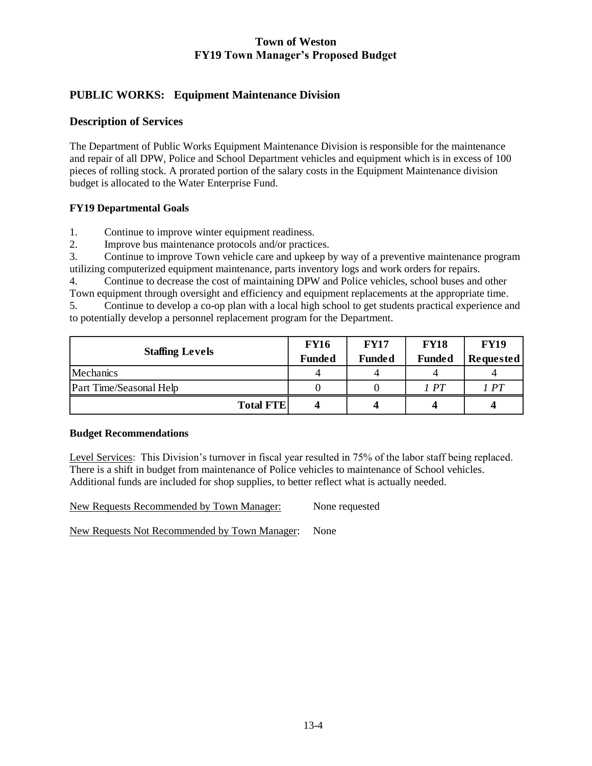# **PUBLIC WORKS: Equipment Maintenance Division**

## **Description of Services**

The Department of Public Works Equipment Maintenance Division is responsible for the maintenance and repair of all DPW, Police and School Department vehicles and equipment which is in excess of 100 pieces of rolling stock. A prorated portion of the salary costs in the Equipment Maintenance division budget is allocated to the Water Enterprise Fund.

#### **FY19 Departmental Goals**

1. Continue to improve winter equipment readiness.

2. Improve bus maintenance protocols and/or practices.

3. Continue to improve Town vehicle care and upkeep by way of a preventive maintenance program utilizing computerized equipment maintenance, parts inventory logs and work orders for repairs.

4. Continue to decrease the cost of maintaining DPW and Police vehicles, school buses and other Town equipment through oversight and efficiency and equipment replacements at the appropriate time.

5. Continue to develop a co-op plan with a local high school to get students practical experience and to potentially develop a personnel replacement program for the Department.

|                         | <b>FY16</b>   | <b>FY17</b>   | <b>FY18</b>   | <b>FY19</b>      |
|-------------------------|---------------|---------------|---------------|------------------|
| <b>Staffing Levels</b>  | <b>Funded</b> | <b>Funded</b> | <b>Funded</b> | <b>Requested</b> |
| Mechanics               |               |               |               |                  |
| Part Time/Seasonal Help |               |               | I PT          | I PT             |
| <b>Total FTE</b>        |               | 4             |               |                  |

#### **Budget Recommendations**

Level Services: This Division's turnover in fiscal year resulted in 75% of the labor staff being replaced. There is a shift in budget from maintenance of Police vehicles to maintenance of School vehicles. Additional funds are included for shop supplies, to better reflect what is actually needed.

New Requests Recommended by Town Manager: None requested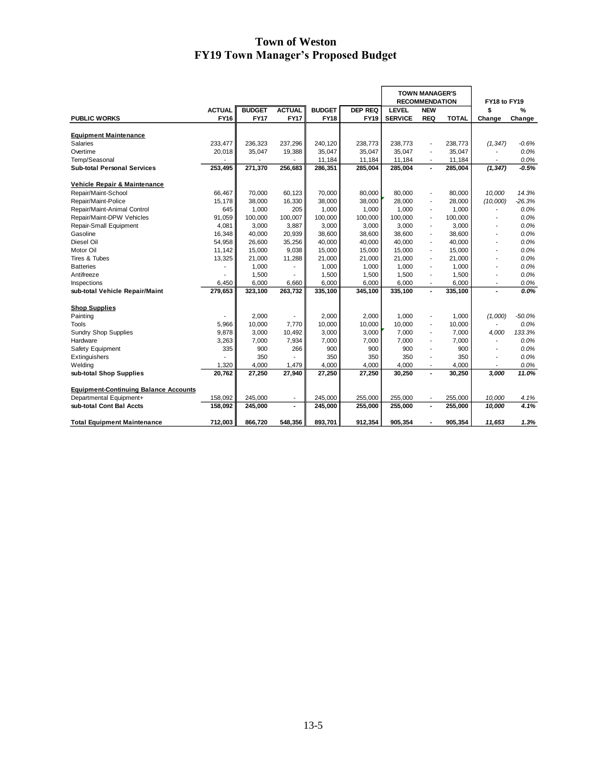|                                              |               |               |                          |               |                | <b>TOWN MANAGER'S</b><br><b>RECOMMENDATION</b> |                          |              | FY18 to FY19             |          |
|----------------------------------------------|---------------|---------------|--------------------------|---------------|----------------|------------------------------------------------|--------------------------|--------------|--------------------------|----------|
|                                              | <b>ACTUAL</b> | <b>BUDGET</b> | <b>ACTUAL</b>            | <b>BUDGET</b> | <b>DEP REQ</b> | <b>LEVEL</b>                                   | <b>NEW</b>               |              | \$                       | %        |
| <b>PUBLIC WORKS</b>                          | <b>FY16</b>   | <b>FY17</b>   | <b>FY17</b>              | <b>FY18</b>   | FY19           | <b>SERVICE</b>                                 | <b>REQ</b>               | <b>TOTAL</b> | Change                   | Change   |
|                                              |               |               |                          |               |                |                                                |                          |              |                          |          |
| <b>Equipment Maintenance</b>                 |               |               |                          |               |                |                                                |                          |              |                          |          |
| Salaries                                     | 233,477       | 236,323       | 237,296                  | 240,120       | 238,773        | 238,773                                        | $\overline{a}$           | 238,773      | (1, 347)                 | $-0.6%$  |
| Overtime                                     | 20,018        | 35,047        | 19,388                   | 35,047        | 35,047         | 35,047                                         | $\overline{a}$           | 35,047       |                          | 0.0%     |
| Temp/Seasonal                                |               |               |                          | 11,184        | 11,184         | 11,184                                         |                          | 11,184       |                          | 0.0%     |
| <b>Sub-total Personal Services</b>           | 253,495       | 271,370       | 256,683                  | 286,351       | 285,004        | 285,004                                        |                          | 285,004      | (1, 347)                 | $-0.5%$  |
| Vehicle Repair & Maintenance                 |               |               |                          |               |                |                                                |                          |              |                          |          |
| Repair/Maint-School                          | 66,467        | 70,000        | 60,123                   | 70,000        | 80,000         | 80,000                                         | $\overline{a}$           | 80,000       | 10,000                   | 14.3%    |
| Repair/Maint-Police                          | 15,178        | 38,000        | 16,330                   | 38,000        | 38,000         | 28,000                                         |                          | 28,000       | (10,000)                 | $-26.3%$ |
| Repair/Maint-Animal Control                  | 645           | 1,000         | 205                      | 1,000         | 1.000          | 1,000                                          | $\blacksquare$           | 1,000        |                          | 0.0%     |
| Repair/Maint-DPW Vehicles                    | 91,059        | 100,000       | 100.007                  | 100,000       | 100,000        | 100,000                                        | $\blacksquare$           | 100,000      |                          | 0.0%     |
| Repair-Small Equipment                       | 4,081         | 3,000         | 3,887                    | 3,000         | 3,000          | 3,000                                          | ä,                       | 3,000        |                          | 0.0%     |
| Gasoline                                     | 16,348        | 40,000        | 20,939                   | 38,600        | 38,600         | 38,600                                         | $\overline{a}$           | 38,600       | ٠                        | 0.0%     |
| Diesel Oil                                   | 54,958        | 26,600        | 35,256                   | 40,000        | 40,000         | 40,000                                         | L,                       | 40,000       | ٠                        | 0.0%     |
| Motor Oil                                    | 11,142        | 15,000        | 9,038                    | 15,000        | 15,000         | 15,000                                         | $\blacksquare$           | 15,000       | ٠                        | 0.0%     |
| Tires & Tubes                                | 13,325        | 21,000        | 11,288                   | 21,000        | 21.000         | 21,000                                         | $\overline{\phantom{a}}$ | 21,000       | ٠                        | 0.0%     |
| <b>Batteries</b>                             |               | 1,000         | $\overline{\phantom{a}}$ | 1,000         | 1,000          | 1,000                                          | ä,                       | 1,000        |                          | 0.0%     |
| Antifreeze                                   |               | 1,500         | ٠                        | 1,500         | 1,500          | 1,500                                          | $\overline{a}$           | 1,500        | $\overline{\phantom{0}}$ | 0.0%     |
| Inspections                                  | 6,450         | 6,000         | 6,660                    | 6,000         | 6,000          | 6,000                                          |                          | 6,000        | ٠                        | 0.0%     |
| sub-total Vehicle Repair/Maint               | 279,653       | 323,100       | 263,732                  | 335,100       | 345,100        | 335,100                                        | $\blacksquare$           | 335,100      |                          | 0.0%     |
|                                              |               |               |                          |               |                |                                                |                          |              |                          |          |
| <b>Shop Supplies</b>                         |               |               |                          |               |                |                                                |                          |              |                          |          |
| Painting                                     |               | 2,000         |                          | 2,000         | 2,000          | 1,000                                          | $\overline{a}$           | 1,000        | (1,000)                  | $-50.0%$ |
| Tools                                        | 5,966         | 10,000        | 7,770                    | 10,000        | 10,000         | 10,000                                         | L,                       | 10,000       |                          | 0.0%     |
| <b>Sundry Shop Supplies</b>                  | 9,878         | 3,000         | 10,492                   | 3,000         | 3,000          | 7,000                                          | $\overline{a}$           | 7,000        | 4,000                    | 133.3%   |
| Hardware                                     | 3,263         | 7,000         | 7,934                    | 7,000         | 7,000          | 7,000                                          | ÷                        | 7,000        | $\overline{a}$           | 0.0%     |
| Safety Equipment                             | 335           | 900           | 266                      | 900           | 900            | 900                                            | ä,                       | 900          |                          | 0.0%     |
| Extinguishers                                |               | 350           |                          | 350           | 350            | 350                                            | ä,                       | 350          | $\overline{a}$           | 0.0%     |
| Welding                                      | 1,320         | 4,000         | 1,479                    | 4,000         | 4,000          | 4,000                                          |                          | 4,000        |                          | 0.0%     |
| sub-total Shop Supplies                      | 20,762        | 27,250        | 27.940                   | 27,250        | 27.250         | 30,250                                         |                          | 30,250       | 3.000                    | 11.0%    |
| <b>Equipment-Continuing Balance Accounts</b> |               |               |                          |               |                |                                                |                          |              |                          |          |
| Departmental Equipment+                      | 158,092       | 245,000       | $\blacksquare$           | 245,000       | 255,000        | 255,000                                        | $\overline{\phantom{a}}$ | 255,000      | 10,000                   | 4.1%     |
| sub-total Cont Bal Accts                     | 158,092       | 245,000       | $\blacksquare$           | 245,000       | 255,000        | 255,000                                        | $\blacksquare$           | 255,000      | 10,000                   | 4.1%     |
| <b>Total Equipment Maintenance</b>           | 712,003       | 866,720       | 548,356                  | 893,701       | 912,354        | 905,354                                        |                          | 905,354      | 11,653                   | 1.3%     |
|                                              |               |               |                          |               |                |                                                |                          |              |                          |          |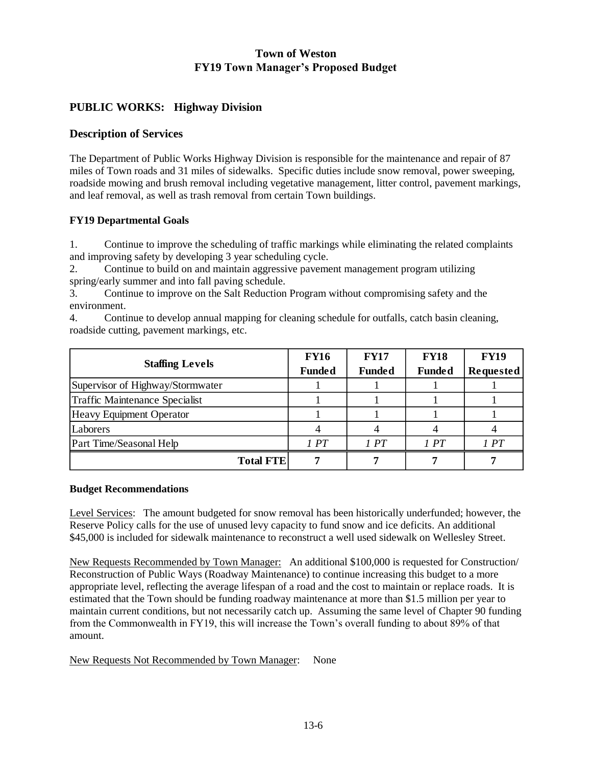## **PUBLIC WORKS: Highway Division**

#### **Description of Services**

The Department of Public Works Highway Division is responsible for the maintenance and repair of 87 miles of Town roads and 31 miles of sidewalks. Specific duties include snow removal, power sweeping, roadside mowing and brush removal including vegetative management, litter control, pavement markings, and leaf removal, as well as trash removal from certain Town buildings.

#### **FY19 Departmental Goals**

1. Continue to improve the scheduling of traffic markings while eliminating the related complaints and improving safety by developing 3 year scheduling cycle.

2. Continue to build on and maintain aggressive pavement management program utilizing spring/early summer and into fall paving schedule.

3. Continue to improve on the Salt Reduction Program without compromising safety and the environment.

4. Continue to develop annual mapping for cleaning schedule for outfalls, catch basin cleaning, roadside cutting, pavement markings, etc.

|                                  | <b>FY16</b>   | <b>FY17</b>   | <b>FY18</b>   | <b>FY19</b>      |
|----------------------------------|---------------|---------------|---------------|------------------|
| <b>Staffing Levels</b>           | <b>Funded</b> | <b>Funded</b> | <b>Funded</b> | <b>Requested</b> |
| Supervisor of Highway/Stormwater |               |               |               |                  |
| Traffic Maintenance Specialist   |               |               |               |                  |
| Heavy Equipment Operator         |               |               |               |                  |
| Laborers                         |               |               |               |                  |
| Part Time/Seasonal Help          | 1PT           | 1PT           | 1PT           | 1PT              |
| <b>Total FTE</b>                 |               |               |               |                  |

#### **Budget Recommendations**

Level Services: The amount budgeted for snow removal has been historically underfunded; however, the Reserve Policy calls for the use of unused levy capacity to fund snow and ice deficits. An additional \$45,000 is included for sidewalk maintenance to reconstruct a well used sidewalk on Wellesley Street.

New Requests Recommended by Town Manager: An additional \$100,000 is requested for Construction/ Reconstruction of Public Ways (Roadway Maintenance) to continue increasing this budget to a more appropriate level, reflecting the average lifespan of a road and the cost to maintain or replace roads. It is estimated that the Town should be funding roadway maintenance at more than \$1.5 million per year to maintain current conditions, but not necessarily catch up. Assuming the same level of Chapter 90 funding from the Commonwealth in FY19, this will increase the Town's overall funding to about 89% of that amount.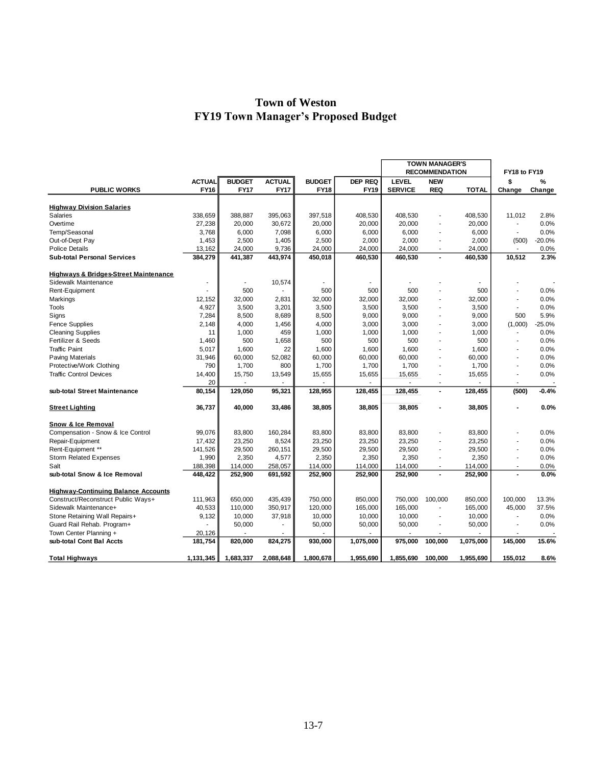|                                                  |                |               |                |               |                | <b>TOWN MANAGER'S</b> |                       |              |                |          |
|--------------------------------------------------|----------------|---------------|----------------|---------------|----------------|-----------------------|-----------------------|--------------|----------------|----------|
|                                                  |                |               |                |               |                |                       | <b>RECOMMENDATION</b> |              | FY18 to FY19   |          |
|                                                  | <b>ACTUAL</b>  | <b>BUDGET</b> | <b>ACTUAL</b>  | <b>BUDGET</b> | <b>DEP REQ</b> | <b>LEVEL</b>          | <b>NEW</b>            |              | \$             | %        |
| <b>PUBLIC WORKS</b>                              | FY16           | <b>FY17</b>   | <b>FY17</b>    | <b>FY18</b>   | <b>FY19</b>    | <b>SERVICE</b>        | <b>REQ</b>            | <b>TOTAL</b> | Change         | Change   |
|                                                  |                |               |                |               |                |                       |                       |              |                |          |
| <b>Highway Division Salaries</b>                 |                |               |                |               |                |                       |                       |              |                |          |
| <b>Salaries</b>                                  | 338.659        | 388.887       | 395.063        | 397,518       | 408.530        | 408.530               |                       | 408.530      | 11.012         | 2.8%     |
| Overtime                                         | 27,238         | 20,000        | 30,672         | 20,000        | 20,000         | 20,000                |                       | 20,000       | ÷.             | 0.0%     |
| Temp/Seasonal                                    | 3.768          | 6,000         | 7,098          | 6,000         | 6,000          | 6,000                 | ä,                    | 6,000        | $\mathbf{r}$   | 0.0%     |
| Out-of-Dept Pay                                  | 1,453          | 2,500         | 1,405          | 2,500         | 2,000          | 2,000                 | Ĭ.                    | 2,000        | (500)          | $-20.0%$ |
| <b>Police Details</b>                            | 13,162         | 24,000        | 9,736          | 24,000        | 24,000         | 24,000                | ÷.                    | 24,000       | $\sim$         | 0.0%     |
| <b>Sub-total Personal Services</b>               | 384,279        | 441,387       | 443,974        | 450,018       | 460,530        | 460,530               | $\overline{a}$        | 460,530      | 10,512         | 2.3%     |
| <b>Highways &amp; Bridges-Street Maintenance</b> |                |               |                |               |                |                       |                       |              |                |          |
| Sidewalk Maintenance                             | $\overline{a}$ |               | 10,574         |               | $\overline{a}$ |                       |                       |              |                |          |
| Rent-Equipment                                   |                | 500           |                | 500           | 500            | 500                   |                       | 500          |                | 0.0%     |
| Markings                                         | 12,152         | 32,000        | 2,831          | 32,000        | 32,000         | 32,000                |                       | 32,000       |                | 0.0%     |
| <b>Tools</b>                                     | 4,927          | 3,500         | 3,201          | 3,500         | 3,500          | 3,500                 | ÷.                    | 3,500        | $\sim$         | 0.0%     |
| Signs                                            | 7,284          | 8,500         | 8,689          | 8,500         | 9,000          | 9,000                 |                       | 9,000        | 500            | 5.9%     |
| <b>Fence Supplies</b>                            | 2,148          | 4,000         | 1,456          | 4,000         | 3,000          | 3,000                 | $\overline{a}$        | 3,000        | (1,000)        | $-25.0%$ |
| <b>Cleaning Supplies</b>                         | 11             | 1,000         | 459            | 1,000         | 1,000          | 1,000                 |                       | 1,000        | $\sim$         | 0.0%     |
| Fertilizer & Seeds                               | 1,460          | 500           | 1,658          | 500           | 500            | 500                   | ä,                    | 500          | ä,             | 0.0%     |
| <b>Traffic Paint</b>                             | 5,017          | 1,600         | 22             | 1,600         | 1,600          | 1,600                 |                       | 1,600        |                | 0.0%     |
| <b>Paving Materials</b>                          | 31,946         | 60,000        | 52,082         | 60,000        | 60,000         | 60,000                | L.                    | 60,000       |                | 0.0%     |
| Protective/Work Clothing                         | 790            | 1,700         | 800            | 1,700         | 1,700          | 1,700                 | ÷,                    | 1,700        |                | 0.0%     |
| <b>Traffic Control Devices</b>                   | 14,400         | 15,750        | 13,549         | 15,655        | 15,655         | 15,655                | ä,                    | 15,655       | $\overline{a}$ | 0.0%     |
|                                                  | 20             |               |                |               |                | ÷.                    |                       |              |                |          |
| sub-total Street Maintenance                     | 80,154         | 129,050       | 95,321         | 128,955       | 128,455        | 128,455               |                       | 128,455      | (500)          | $-0.4%$  |
| <b>Street Lighting</b>                           | 36,737         | 40,000        | 33,486         | 38,805        | 38,805         | 38,805                |                       | 38,805       |                | 0.0%     |
|                                                  |                |               |                |               |                |                       |                       |              |                |          |
| Snow & Ice Removal                               |                |               |                |               |                |                       |                       |              |                |          |
| Compensation - Snow & Ice Control                | 99,076         | 83,800        | 160,284        | 83,800        | 83,800         | 83,800                | ä,                    | 83,800       |                | 0.0%     |
| Repair-Equipment                                 | 17,432         | 23,250        | 8,524          | 23,250        | 23,250         | 23,250                |                       | 23,250       |                | 0.0%     |
| Rent-Equipment **                                | 141,526        | 29,500        | 260,151        | 29,500        | 29,500         | 29,500                | ä,                    | 29,500       |                | 0.0%     |
| <b>Storm Related Expenses</b>                    | 1,990          | 2,350         | 4,577          | 2,350         | 2,350          | 2,350                 | ä,                    | 2,350        |                | 0.0%     |
| Salt                                             | 188,398        | 114,000       | 258,057        | 114,000       | 114,000        | 114,000               | ÷,                    | 114,000      |                | 0.0%     |
| sub-total Snow & Ice Removal                     | 448,422        | 252,900       | 691,592        | 252,900       | 252,900        | 252,900               | $\overline{a}$        | 252,900      |                | 0.0%     |
| <b>Highway-Continuing Balance Accounts</b>       |                |               |                |               |                |                       |                       |              |                |          |
| Construct/Reconstruct Public Ways+               | 111,963        | 650,000       | 435,439        | 750,000       | 850,000        | 750,000               | 100,000               | 850,000      | 100,000        | 13.3%    |
| Sidewalk Maintenance+                            | 40,533         | 110,000       | 350,917        | 120,000       | 165,000        | 165,000               | ÷.                    | 165,000      | 45.000         | 37.5%    |
| Stone Retaining Wall Repairs+                    | 9,132          | 10,000        | 37,918         | 10,000        | 10,000         | 10.000                |                       | 10,000       | ÷              | 0.0%     |
| Guard Rail Rehab. Program+                       |                | 50,000        | $\overline{a}$ | 50,000        | 50,000         | 50,000                | ÷,                    | 50,000       | $\blacksquare$ | 0.0%     |
| Town Center Planning +                           | 20,126         |               |                |               |                |                       |                       |              |                |          |
| sub-total Cont Bal Accts                         | 181.754        | 820,000       | 824,275        | 930,000       | 1,075,000      | 975.000               | 100.000               | 1,075,000    | 145.000        | 15.6%    |
|                                                  | 1,131,345      | 1,683,337     | 2,088,648      | 1,800,678     | 1,955,690      | 1,855,690             | 100,000               | 1,955,690    | 155,012        | 8.6%     |
| <b>Total Highways</b>                            |                |               |                |               |                |                       |                       |              |                |          |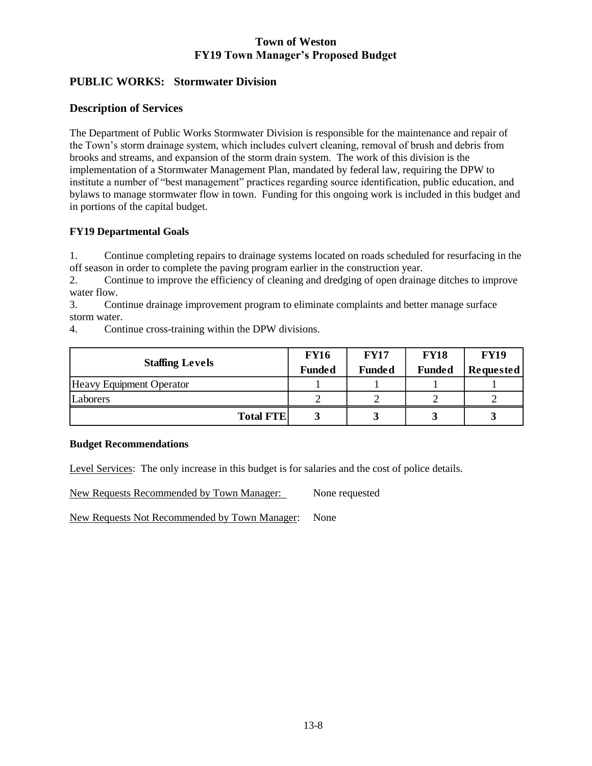# **PUBLIC WORKS: Stormwater Division**

## **Description of Services**

The Department of Public Works Stormwater Division is responsible for the maintenance and repair of the Town's storm drainage system, which includes culvert cleaning, removal of brush and debris from brooks and streams, and expansion of the storm drain system. The work of this division is the implementation of a Stormwater Management Plan, mandated by federal law, requiring the DPW to institute a number of "best management" practices regarding source identification, public education, and bylaws to manage stormwater flow in town. Funding for this ongoing work is included in this budget and in portions of the capital budget.

## **FY19 Departmental Goals**

1. Continue completing repairs to drainage systems located on roads scheduled for resurfacing in the off season in order to complete the paving program earlier in the construction year.

2. Continue to improve the efficiency of cleaning and dredging of open drainage ditches to improve water flow.

3. Continue drainage improvement program to eliminate complaints and better manage surface storm water.

4. Continue cross-training within the DPW divisions.

|                                 | <b>FY16</b>   | <b>FY17</b>   | <b>FY18</b>   | <b>FY19</b>      |
|---------------------------------|---------------|---------------|---------------|------------------|
| <b>Staffing Levels</b>          | <b>Funded</b> | <b>Funded</b> | <b>Funded</b> | <b>Requested</b> |
| <b>Heavy Equipment Operator</b> |               |               |               |                  |
| Laborers                        |               |               |               |                  |
| <b>Total FTE</b>                |               |               |               |                  |

#### **Budget Recommendations**

Level Services: The only increase in this budget is for salaries and the cost of police details.

New Requests Recommended by Town Manager: None requested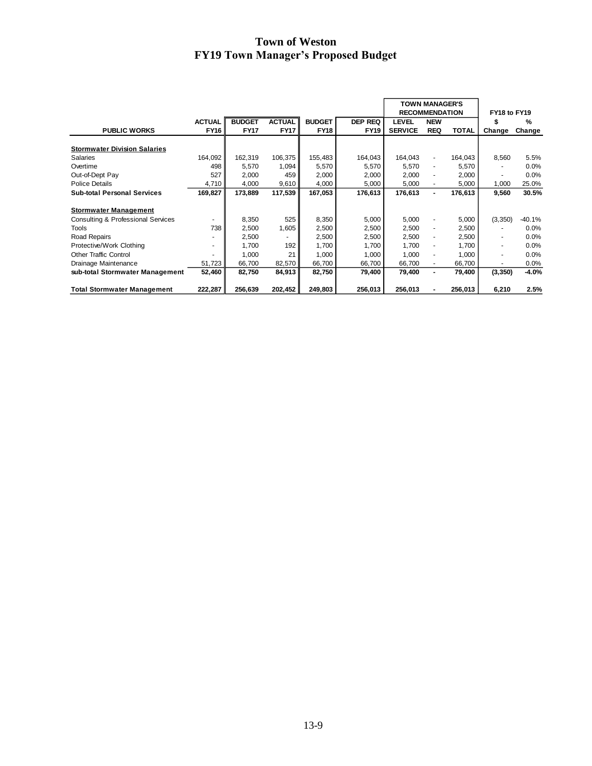|                                               |               |               |               |               |                | <b>TOWN MANAGER'S</b><br><b>RECOMMENDATION</b> |                          |              | FY18 to FY19 |          |  |
|-----------------------------------------------|---------------|---------------|---------------|---------------|----------------|------------------------------------------------|--------------------------|--------------|--------------|----------|--|
|                                               | <b>ACTUAL</b> | <b>BUDGET</b> | <b>ACTUAL</b> | <b>BUDGET</b> | <b>DEP REQ</b> | LEVEL                                          | <b>NEW</b>               |              |              | %        |  |
| <b>PUBLIC WORKS</b>                           | <b>FY16</b>   | <b>FY17</b>   | <b>FY17</b>   | <b>FY18</b>   | <b>FY19</b>    | <b>SERVICE</b>                                 | <b>REQ</b>               | <b>TOTAL</b> | Change       | Change   |  |
| <b>Stormwater Division Salaries</b>           |               |               |               |               |                |                                                |                          |              |              |          |  |
| <b>Salaries</b>                               | 164,092       | 162,319       | 106,375       | 155,483       | 164,043        | 164,043                                        | $\blacksquare$           | 164,043      | 8,560        | 5.5%     |  |
| Overtime                                      | 498           | 5,570         | 1,094         | 5,570         | 5,570          | 5,570                                          | $\blacksquare$           | 5,570        |              | 0.0%     |  |
| Out-of-Dept Pay                               | 527           | 2,000         | 459           | 2,000         | 2,000          | 2,000                                          | ٠                        | 2,000        |              | 0.0%     |  |
| <b>Police Details</b>                         | 4,710         | 4,000         | 9,610         | 4,000         | 5,000          | 5,000                                          | ٠                        | 5,000        | 1,000        | 25.0%    |  |
| <b>Sub-total Personal Services</b>            | 169,827       | 173,889       | 117,539       | 167,053       | 176,613        | 176,613                                        | ٠                        | 176,613      | 9,560        | 30.5%    |  |
| <b>Stormwater Management</b>                  |               |               |               |               |                |                                                |                          |              |              |          |  |
| <b>Consulting &amp; Professional Services</b> |               | 8,350         | 525           | 8,350         | 5,000          | 5,000                                          | $\overline{\phantom{a}}$ | 5,000        | (3,350)      | $-40.1%$ |  |
| Tools                                         | 738           | 2,500         | 1,605         | 2,500         | 2,500          | 2,500                                          | $\blacksquare$           | 2,500        |              | 0.0%     |  |
| Road Repairs                                  |               | 2,500         | ۰             | 2,500         | 2,500          | 2,500                                          | $\frac{1}{2}$            | 2,500        | ٠            | 0.0%     |  |
| Protective/Work Clothing                      |               | 1,700         | 192           | 1,700         | 1,700          | 1.700                                          | $\frac{1}{2}$            | 1,700        | ٠            | 0.0%     |  |
| <b>Other Traffic Control</b>                  |               | 1,000         | 21            | 1,000         | 1,000          | 1,000                                          | $\overline{\phantom{a}}$ | 1,000        | ٠            | 0.0%     |  |
| Drainage Maintenance                          | 51,723        | 66,700        | 82,570        | 66,700        | 66,700         | 66,700                                         | ٠                        | 66,700       | ٠            | 0.0%     |  |
| sub-total Stormwater Management               | 52,460        | 82,750        | 84,913        | 82,750        | 79,400         | 79,400                                         | $\blacksquare$           | 79,400       | (3, 350)     | -4.0%    |  |
| <b>Total Stormwater Management</b>            | 222,287       | 256,639       | 202,452       | 249,803       | 256,013        | 256,013                                        |                          | 256,013      | 6,210        | 2.5%     |  |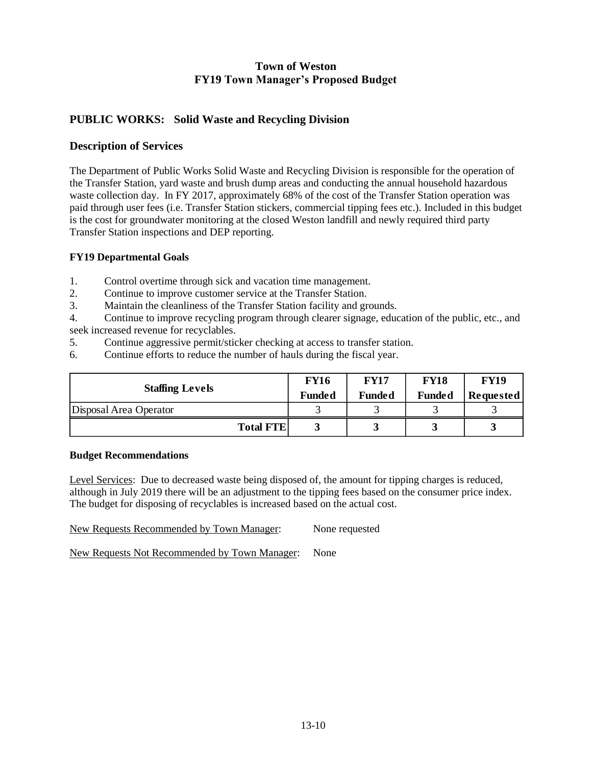# **PUBLIC WORKS: Solid Waste and Recycling Division**

## **Description of Services**

The Department of Public Works Solid Waste and Recycling Division is responsible for the operation of the Transfer Station, yard waste and brush dump areas and conducting the annual household hazardous waste collection day. In FY 2017, approximately 68% of the cost of the Transfer Station operation was paid through user fees (i.e. Transfer Station stickers, commercial tipping fees etc.). Included in this budget is the cost for groundwater monitoring at the closed Weston landfill and newly required third party Transfer Station inspections and DEP reporting.

#### **FY19 Departmental Goals**

- 1. Control overtime through sick and vacation time management.
- 2. Continue to improve customer service at the Transfer Station.
- 3. Maintain the cleanliness of the Transfer Station facility and grounds.

4. Continue to improve recycling program through clearer signage, education of the public, etc., and seek increased revenue for recyclables.

- 5. Continue aggressive permit/sticker checking at access to transfer station.
- 6. Continue efforts to reduce the number of hauls during the fiscal year.

| <b>Staffing Levels</b> | <b>FY16</b><br><b>Funded</b> | <b>FY17</b><br><b>Funded</b> | <b>FY18</b><br><b>Funded</b> | <b>FY19</b><br><b>Requested</b> |  |
|------------------------|------------------------------|------------------------------|------------------------------|---------------------------------|--|
| Disposal Area Operator |                              |                              |                              |                                 |  |
| <b>Total FTE</b>       |                              |                              |                              |                                 |  |

#### **Budget Recommendations**

Level Services: Due to decreased waste being disposed of, the amount for tipping charges is reduced, although in July 2019 there will be an adjustment to the tipping fees based on the consumer price index. The budget for disposing of recyclables is increased based on the actual cost.

New Requests Recommended by Town Manager: None requested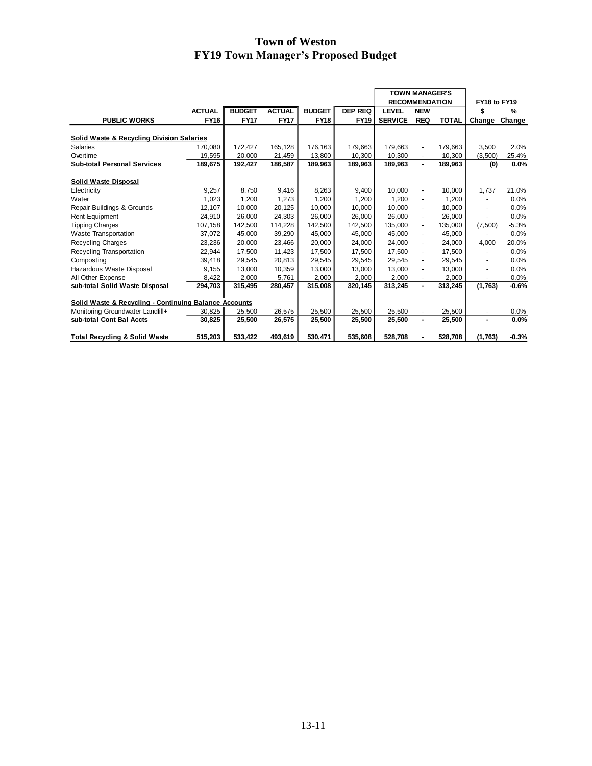|                                                       |               |               |               |               |                | <b>TOWN MANAGER'S</b><br><b>RECOMMENDATION</b> |                |              |               |               |
|-------------------------------------------------------|---------------|---------------|---------------|---------------|----------------|------------------------------------------------|----------------|--------------|---------------|---------------|
|                                                       |               |               |               |               |                |                                                |                |              | FY18 to FY19  |               |
|                                                       | <b>ACTUAL</b> | <b>BUDGET</b> | <b>ACTUAL</b> | <b>BUDGET</b> | <b>DEP REQ</b> | <b>LEVEL</b>                                   | <b>NEW</b>     |              | \$            | $\frac{9}{6}$ |
| <b>PUBLIC WORKS</b>                                   | <b>FY16</b>   | <b>FY17</b>   | <b>FY17</b>   | <b>FY18</b>   | <b>FY19</b>    | <b>SERVICE</b>                                 | <b>REQ</b>     | <b>TOTAL</b> | Change Change |               |
| <b>Solid Waste &amp; Recycling Division Salaries</b>  |               |               |               |               |                |                                                |                |              |               |               |
| <b>Salaries</b>                                       | 170.080       | 172.427       | 165.128       | 176.163       | 179.663        | 179.663                                        | ÷              | 179,663      | 3.500         | 2.0%          |
| Overtime                                              | 19,595        | 20,000        | 21,459        | 13,800        | 10,300         | 10,300                                         |                | 10,300       | (3,500)       | $-25.4%$      |
| <b>Sub-total Personal Services</b>                    | 189,675       | 192,427       | 186,587       | 189,963       | 189,963        | 189,963                                        | $\blacksquare$ | 189,963      | (0)           | 0.0%          |
| <b>Solid Waste Disposal</b>                           |               |               |               |               |                |                                                |                |              |               |               |
| Electricity                                           | 9.257         | 8.750         | 9.416         | 8,263         | 9.400          | 10.000                                         | $\blacksquare$ | 10.000       | 1.737         | 21.0%         |
| Water                                                 | 1.023         | 1,200         | 1,273         | 1,200         | 1,200          | 1.200                                          | ÷              | 1.200        |               | 0.0%          |
| Repair-Buildings & Grounds                            | 12,107        | 10.000        | 20,125        | 10.000        | 10.000         | 10.000                                         | $\blacksquare$ | 10.000       | ۰             | 0.0%          |
| Rent-Equipment                                        | 24,910        | 26.000        | 24,303        | 26,000        | 26,000         | 26.000                                         | ÷              | 26.000       |               | 0.0%          |
| <b>Tipping Charges</b>                                | 107,158       | 142.500       | 114,228       | 142,500       | 142.500        | 135.000                                        | ٠              | 135.000      | (7,500)       | $-5.3%$       |
| <b>Waste Transportation</b>                           | 37,072        | 45,000        | 39,290        | 45,000        | 45,000         | 45,000                                         | $\blacksquare$ | 45,000       |               | 0.0%          |
| Recycling Charges                                     | 23,236        | 20,000        | 23,466        | 20,000        | 24,000         | 24,000                                         | ٠              | 24,000       | 4,000         | 20.0%         |
| Recycling Transportation                              | 22,944        | 17,500        | 11,423        | 17,500        | 17,500         | 17,500                                         | $\blacksquare$ | 17,500       |               | 0.0%          |
| Composting                                            | 39,418        | 29,545        | 20,813        | 29,545        | 29,545         | 29,545                                         | ÷              | 29,545       |               | 0.0%          |
| Hazardous Waste Disposal                              | 9,155         | 13,000        | 10,359        | 13,000        | 13,000         | 13,000                                         | ÷,             | 13,000       | ٠             | 0.0%          |
| All Other Expense                                     | 8,422         | 2,000         | 5,761         | 2,000         | 2,000          | 2,000                                          |                | 2,000        |               | 0.0%          |
| sub-total Solid Waste Disposal                        | 294,703       | 315,495       | 280,457       | 315,008       | 320,145        | 313,245                                        | $\blacksquare$ | 313,245      | (1,763)       | $-0.6%$       |
| Solid Waste & Recycling - Continuing Balance Accounts |               |               |               |               |                |                                                |                |              |               |               |
| Monitoring Groundwater-Landfill+                      | 30,825        | 25,500        | 26,575        | 25,500        | 25,500         | 25,500                                         | ٠              | 25,500       | ٠             | 0.0%          |
| sub-total Cont Bal Accts                              | 30.825        | 25,500        | 26,575        | 25,500        | 25,500         | 25,500                                         | $\blacksquare$ | 25,500       |               | 0.0%          |
| <b>Total Recycling &amp; Solid Waste</b>              | 515,203       | 533.422       | 493,619       | 530.471       | 535.608        | 528.708                                        | -              | 528,708      | (1,763)       | $-0.3%$       |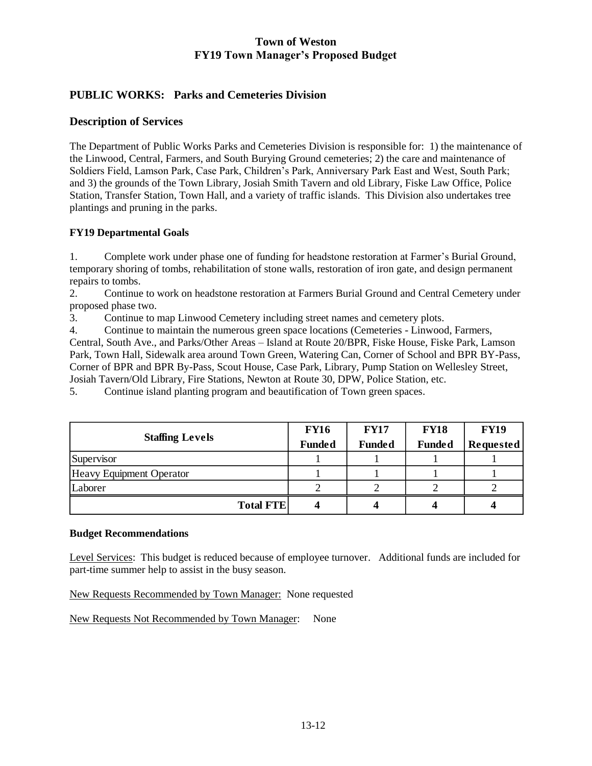# **PUBLIC WORKS: Parks and Cemeteries Division**

#### **Description of Services**

The Department of Public Works Parks and Cemeteries Division is responsible for: 1) the maintenance of the Linwood, Central, Farmers, and South Burying Ground cemeteries; 2) the care and maintenance of Soldiers Field, Lamson Park, Case Park, Children's Park, Anniversary Park East and West, South Park; and 3) the grounds of the Town Library, Josiah Smith Tavern and old Library, Fiske Law Office, Police Station, Transfer Station, Town Hall, and a variety of traffic islands. This Division also undertakes tree plantings and pruning in the parks.

#### **FY19 Departmental Goals**

1. Complete work under phase one of funding for headstone restoration at Farmer's Burial Ground, temporary shoring of tombs, rehabilitation of stone walls, restoration of iron gate, and design permanent repairs to tombs.

2. Continue to work on headstone restoration at Farmers Burial Ground and Central Cemetery under proposed phase two.

3. Continue to map Linwood Cemetery including street names and cemetery plots.

4. Continue to maintain the numerous green space locations (Cemeteries - Linwood, Farmers, Central, South Ave., and Parks/Other Areas – Island at Route 20/BPR, Fiske House, Fiske Park, Lamson Park, Town Hall, Sidewalk area around Town Green, Watering Can, Corner of School and BPR BY-Pass, Corner of BPR and BPR By-Pass, Scout House, Case Park, Library, Pump Station on Wellesley Street, Josiah Tavern/Old Library, Fire Stations, Newton at Route 30, DPW, Police Station, etc.

5. Continue island planting program and beautification of Town green spaces.

|                          | <b>FY16</b>   | <b>FY17</b>   | <b>FY18</b>   | <b>FY19</b>      |
|--------------------------|---------------|---------------|---------------|------------------|
| <b>Staffing Levels</b>   | <b>Funded</b> | <b>Funded</b> | <b>Funded</b> | <b>Requested</b> |
| Supervisor               |               |               |               |                  |
| Heavy Equipment Operator |               |               |               |                  |
| Laborer                  |               |               |               |                  |
| <b>Total FTE</b>         |               |               |               |                  |

#### **Budget Recommendations**

Level Services: This budget is reduced because of employee turnover. Additional funds are included for part-time summer help to assist in the busy season.

New Requests Recommended by Town Manager: None requested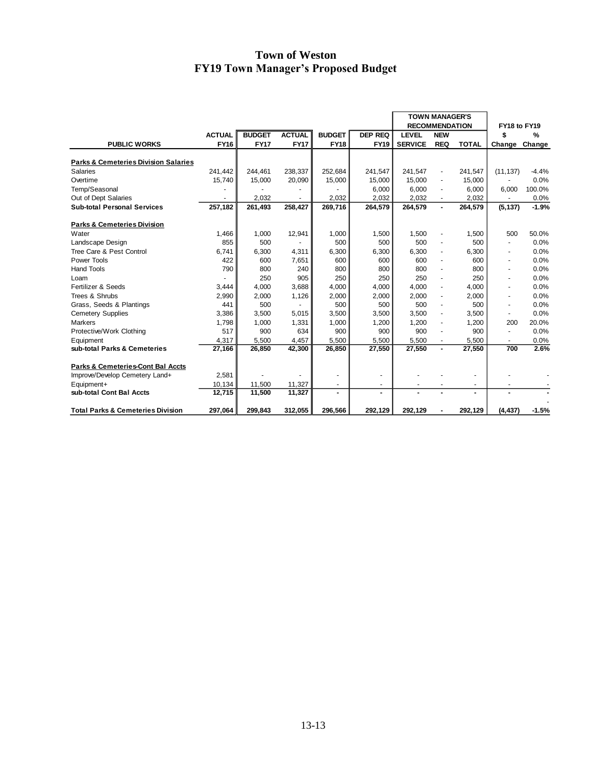|                                                 |               |               |               |               |                          | <b>TOWN MANAGER'S</b><br><b>RECOMMENDATION</b> |                          |              | FY18 to FY19             |               |
|-------------------------------------------------|---------------|---------------|---------------|---------------|--------------------------|------------------------------------------------|--------------------------|--------------|--------------------------|---------------|
|                                                 | <b>ACTUAL</b> | <b>BUDGET</b> | <b>ACTUAL</b> | <b>BUDGET</b> | <b>DEP REQ</b>           | <b>LEVEL</b>                                   | <b>NEW</b>               |              |                          | $\frac{9}{6}$ |
| <b>PUBLIC WORKS</b>                             | <b>FY16</b>   | <b>FY17</b>   | <b>FY17</b>   | <b>FY18</b>   | <b>FY19</b>              | <b>SERVICE</b>                                 | <b>REQ</b>               | <b>TOTAL</b> | \$                       | Change        |
|                                                 |               |               |               |               |                          |                                                |                          |              | Change                   |               |
| <b>Parks &amp; Cemeteries Division Salaries</b> |               |               |               |               |                          |                                                |                          |              |                          |               |
| Salaries                                        | 241,442       | 244,461       | 238,337       | 252,684       | 241,547                  | 241,547                                        | $\blacksquare$           | 241,547      | (11, 137)                | $-4.4%$       |
| Overtime                                        | 15.740        | 15.000        | 20.090        | 15.000        | 15.000                   | 15.000                                         |                          | 15.000       |                          | 0.0%          |
| Temp/Seasonal                                   |               |               |               |               | 6,000                    | 6.000                                          |                          | 6,000        | 6,000                    | 100.0%        |
| Out of Dept Salaries                            |               | 2,032         |               | 2,032         | 2,032                    | 2,032                                          |                          | 2,032        |                          | 0.0%          |
| <b>Sub-total Personal Services</b>              | 257,182       | 261,493       | 258,427       | 269,716       | 264,579                  | 264,579                                        |                          | 264,579      | (5, 137)                 | $-1.9%$       |
|                                                 |               |               |               |               |                          |                                                |                          |              |                          |               |
| <b>Parks &amp; Cemeteries Division</b>          |               |               |               |               |                          |                                                |                          |              |                          |               |
| Water                                           | 1,466         | 1,000         | 12,941        | 1,000         | 1,500                    | 1,500                                          | $\overline{\phantom{a}}$ | 1,500        | 500                      | 50.0%         |
| Landscape Design                                | 855           | 500           |               | 500           | 500                      | 500                                            |                          | 500          |                          | 0.0%          |
| Tree Care & Pest Control                        | 6.741         | 6,300         | 4,311         | 6,300         | 6.300                    | 6,300                                          | $\overline{\phantom{a}}$ | 6.300        |                          | 0.0%          |
| Power Tools                                     | 422           | 600           | 7.651         | 600           | 600                      | 600                                            |                          | 600          | ۰                        | 0.0%          |
| <b>Hand Tools</b>                               | 790           | 800           | 240           | 800           | 800                      | 800                                            |                          | 800          | $\blacksquare$           | 0.0%          |
| Loam                                            |               | 250           | 905           | 250           | 250                      | 250                                            |                          | 250          | ٠                        | 0.0%          |
| Fertilizer & Seeds                              | 3,444         | 4.000         | 3.688         | 4.000         | 4.000                    | 4.000                                          | $\blacksquare$           | 4.000        | $\overline{\phantom{a}}$ | 0.0%          |
| Trees & Shrubs                                  | 2,990         | 2,000         | 1,126         | 2,000         | 2,000                    | 2,000                                          |                          | 2,000        | $\overline{\phantom{a}}$ | 0.0%          |
| Grass, Seeds & Plantings                        | 441           | 500           |               | 500           | 500                      | 500                                            |                          | 500          | $\overline{\phantom{a}}$ | 0.0%          |
| <b>Cemetery Supplies</b>                        | 3,386         | 3.500         | 5.015         | 3.500         | 3,500                    | 3.500                                          | $\blacksquare$           | 3.500        | $\overline{\phantom{a}}$ | 0.0%          |
| <b>Markers</b>                                  | 1,798         | 1,000         | 1,331         | 1,000         | 1,200                    | 1,200                                          |                          | 1,200        | 200                      | 20.0%         |
| Protective/Work Clothing                        | 517           | 900           | 634           | 900           | 900                      | 900                                            |                          | 900          | $\overline{\phantom{a}}$ | 0.0%          |
| Equipment                                       | 4,317         | 5,500         | 4,457         | 5,500         | 5,500                    | 5,500                                          | $\overline{\phantom{a}}$ | 5,500        | $\overline{\phantom{a}}$ | 0.0%          |
| sub-total Parks & Cemeteries                    | 27.166        | 26.850        | 42,300        | 26.850        | 27,550                   | 27,550                                         | ٠                        | 27,550       | 700                      | 2.6%          |
| Parks & Cemeteries-Cont Bal Accts               |               |               |               |               |                          |                                                |                          |              |                          |               |
| Improve/Develop Cemetery Land+                  | 2,581         |               |               |               | $\overline{\phantom{a}}$ |                                                |                          |              |                          |               |
| Equipment+                                      | 10,134        | 11,500        | 11,327        |               | $\overline{\phantom{a}}$ |                                                |                          | ٠            |                          |               |
| sub-total Cont Bal Accts                        | 12.715        | 11.500        | 11.327        | ٠             | ۰                        |                                                |                          |              |                          |               |
|                                                 |               |               |               |               |                          |                                                |                          |              |                          |               |
| <b>Total Parks &amp; Cemeteries Division</b>    | 297,064       | 299,843       | 312,055       | 296,566       | 292,129                  | 292,129                                        |                          | 292,129      | (4, 437)                 | $-1.5%$       |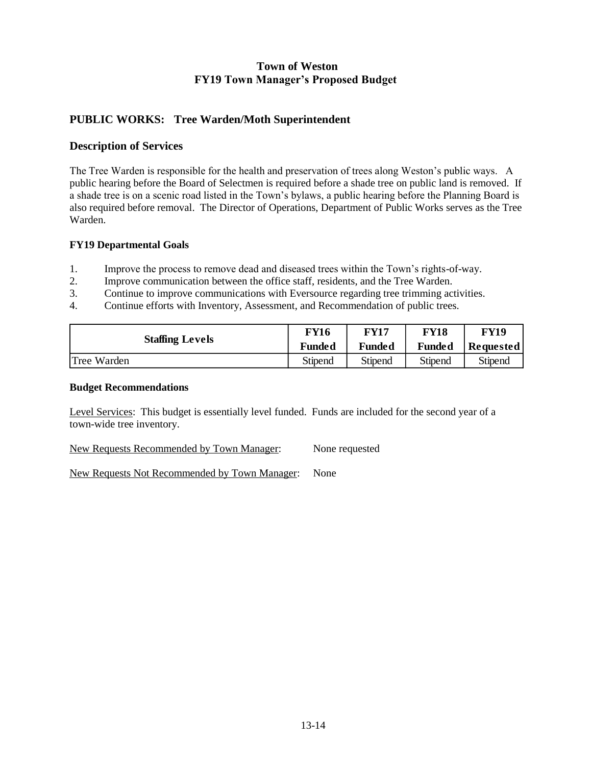# **PUBLIC WORKS: Tree Warden/Moth Superintendent**

#### **Description of Services**

The Tree Warden is responsible for the health and preservation of trees along Weston's public ways. A public hearing before the Board of Selectmen is required before a shade tree on public land is removed. If a shade tree is on a scenic road listed in the Town's bylaws, a public hearing before the Planning Board is also required before removal. The Director of Operations, Department of Public Works serves as the Tree Warden.

## **FY19 Departmental Goals**

- 1. Improve the process to remove dead and diseased trees within the Town's rights-of-way.
- 2. Improve communication between the office staff, residents, and the Tree Warden.
- 3. Continue to improve communications with Eversource regarding tree trimming activities.
- 4. Continue efforts with Inventory, Assessment, and Recommendation of public trees.

| <b>Staffing Levels</b> | <b>FY16</b> | <b>FY17</b> | FY18    | FY19      |  |
|------------------------|-------------|-------------|---------|-----------|--|
|                        | Funded      | Funded      | Funded  | Requested |  |
| Tree Warden            | Stipend     | Stipend     | Stipend | Stipend   |  |

#### **Budget Recommendations**

Level Services: This budget is essentially level funded. Funds are included for the second year of a town-wide tree inventory.

New Requests Recommended by Town Manager: None requested